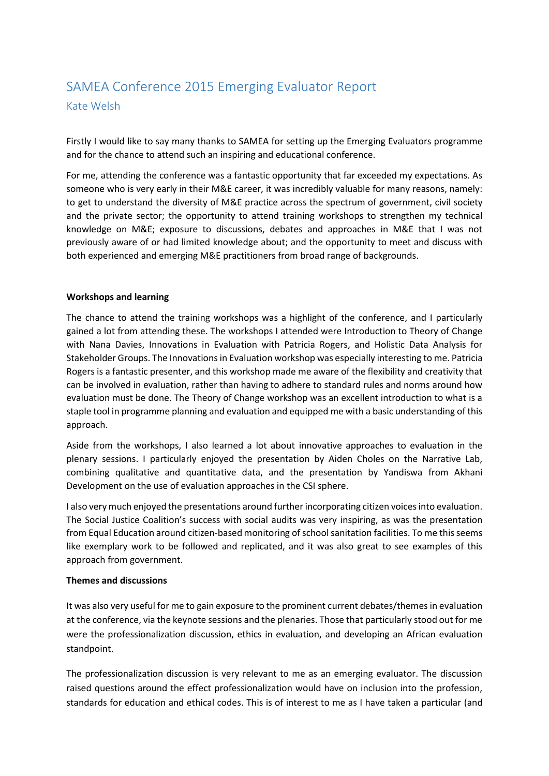## SAMEA Conference 2015 Emerging Evaluator Report Kate Welsh

Firstly I would like to say many thanks to SAMEA for setting up the Emerging Evaluators programme and for the chance to attend such an inspiring and educational conference.

For me, attending the conference was a fantastic opportunity that far exceeded my expectations. As someone who is very early in their M&E career, it was incredibly valuable for many reasons, namely: to get to understand the diversity of M&E practice across the spectrum of government, civil society and the private sector; the opportunity to attend training workshops to strengthen my technical knowledge on M&E; exposure to discussions, debates and approaches in M&E that I was not previously aware of or had limited knowledge about; and the opportunity to meet and discuss with both experienced and emerging M&E practitioners from broad range of backgrounds.

## **Workshops and learning**

The chance to attend the training workshops was a highlight of the conference, and I particularly gained a lot from attending these. The workshops I attended were Introduction to Theory of Change with Nana Davies, Innovations in Evaluation with Patricia Rogers, and Holistic Data Analysis for Stakeholder Groups. The Innovations in Evaluation workshop was especially interesting to me. Patricia Rogers is a fantastic presenter, and this workshop made me aware of the flexibility and creativity that can be involved in evaluation, rather than having to adhere to standard rules and norms around how evaluation must be done. The Theory of Change workshop was an excellent introduction to what is a staple tool in programme planning and evaluation and equipped me with a basic understanding of this approach.

Aside from the workshops, I also learned a lot about innovative approaches to evaluation in the plenary sessions. I particularly enjoyed the presentation by Aiden Choles on the Narrative Lab, combining qualitative and quantitative data, and the presentation by Yandiswa from Akhani Development on the use of evaluation approaches in the CSI sphere.

I also very much enjoyed the presentations around further incorporating citizen voices into evaluation. The Social Justice Coalition's success with social audits was very inspiring, as was the presentation from Equal Education around citizen-based monitoring of school sanitation facilities. To me this seems like exemplary work to be followed and replicated, and it was also great to see examples of this approach from government.

## **Themes and discussions**

It was also very useful for me to gain exposure to the prominent current debates/themes in evaluation at the conference, via the keynote sessions and the plenaries. Those that particularly stood out for me were the professionalization discussion, ethics in evaluation, and developing an African evaluation standpoint.

The professionalization discussion is very relevant to me as an emerging evaluator. The discussion raised questions around the effect professionalization would have on inclusion into the profession, standards for education and ethical codes. This is of interest to me as I have taken a particular (and